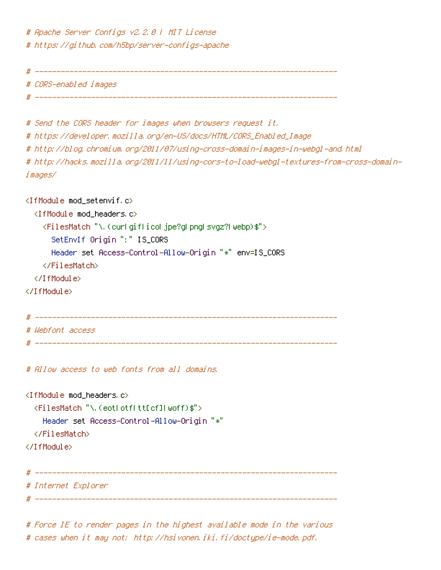# Apache Server Configs v2.2.0 | MIT License # https://github.com/h5bp/server-configs-apache

# ----------------------------------------------------------------------

# CORS-enabled images

# ----------------------------------------------------------------------

# Send the CORS header for images when browsers request it. # https://developer.mozilla.org/en-US/docs/HTML/CORS\_Enabled\_Image # http://blog.chromium.org/2011/07/using-cross-domain-images-in-webgl-and.html # http://hacks.mozilla.org/2011/11/using-cors-to-load-webgl-textures-from-cross-domainimages/

 $\langle$ IfModule mod setenvif.c $\rangle$ <IfModule mod\_headers.c> <FilesMatch "\.(cur|gif|ico|jpe?g|png|svgz?|webp)\$"> SetEnvIf Origin ":" IS\_CORS Header set Access-Control-Allow-Origin "\*" env=IS\_CORS </FilesMatch> </IfModule> </IfModule> # ---------------------------------------------------------------------- # Webfont access # ----------------------------------------------------------------------

# Allow access to web fonts from all domains.

 $\triangleleft$ IfModule mod headers.c> <FilesMatch "\.(eot|otf|tt[cf]|woff)\$"> Header set Access-Control-Allow-Origin "\*" </FilesMatch> </IfModule> # ---------------------------------------------------------------------- # Internet Explorer

# ----------------------------------------------------------------------

# Force IE to render pages in the highest available mode in the various # cases when it may not: http://hsivonen.iki.fi/doctype/ie-mode.pdf.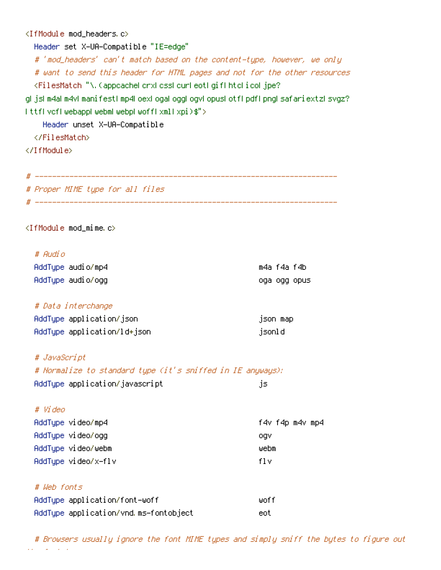#### <IfModule mod\_headers.c>

Header set X-UA-Compatible "IE=edge" # 'mod\_headers' can't match based on the content-type, however, we only # want to send this header for HTML pages and not for the other resources <FilesMatch "\.(appcache|crx|css|cur|eot|gif|htc|ico|jpe? g| js| m4a| m4v| manifest| mp4| oex| oga| ogg| ogv| opus| otf| pdf| png| safariextz| svgz?

|ttf|vcf|webapp|webm|webp|woff|xml|xpi)\$">

Header unset X-UA-Compatible

</FilesMatch>

</IfModule>

# ---------------------------------------------------------------------- # Proper MIME type for all files # ----------------------------------------------------------------------

<IfModule mod\_mime.c>

#### # Audio

| AddTupe audio/mp4 | m4a f4a f4b |               |
|-------------------|-------------|---------------|
| AddTupe audio/ogg |             | loga ogg opus |

#### # Data interchange

| AddType application/json    | json map |
|-----------------------------|----------|
| AddType application/ld+json | jsonld   |

# JavaScript

| # Normalize to standard type (it's sniffed in IE anyways); |      |
|------------------------------------------------------------|------|
| AddType application/javascript                             | -15. |

#### # Video

| AddTupe video/mp4   | f4v f4p m4v mp4 |  |
|---------------------|-----------------|--|
| AddType video/ogg   | ogv             |  |
| AddTupe video/webm  | webm            |  |
| AddTupe video/x-flv | fl v            |  |
|                     |                 |  |
|                     |                 |  |

# # Web fonts

| AddTupe application/font-woff         | -liinf f |
|---------------------------------------|----------|
| AddType application/vnd.ms-fontobject | eot      |

# Browsers usually ignore the font MIME types and simply sniff the bytes to figure out the font type.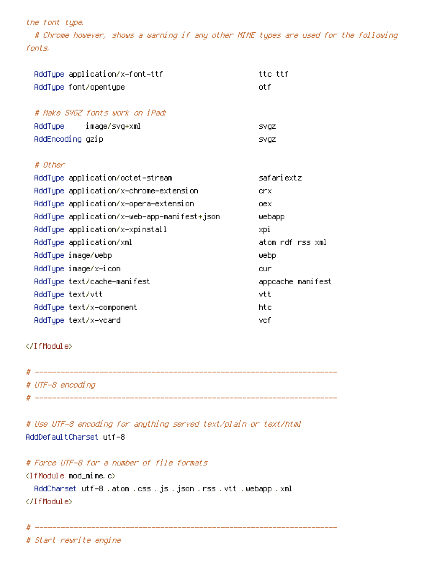#### the font type.

# Chrome however, shows <sup>a</sup> warning if any other MIME types are used for the following fonts.

| AddType application/x-font-ttf              | tte ttf           |
|---------------------------------------------|-------------------|
| AddType font/opentype                       | otf               |
|                                             |                   |
| # Make SVGZ fonts work on iPad:             |                   |
| AddType image/svg+xml                       | svgz              |
| AddEncoding gzip                            | svgz              |
|                                             |                   |
| # Other                                     |                   |
| AddType application/octet-stream            | safariextz        |
| AddType application/x-chrome-extension      | crx               |
| AddType application/x-opera-extension       | oex               |
| AddType application/x-web-app-manifest+json | webapp            |
| AddType application/x-xpinstall             | xpi               |
| AddType application/xml                     | atom rdf rss xml  |
| AddType image/webp                          | Webp              |
| AddType image/x−icon                        | cur               |
| AddType text/cache-manifest                 | appcache manifest |
| AddType text/vtt                            | vtt               |
| AddType text/x-component                    | htc               |
| AddType text/x-vcard                        | vef               |

#### </IfModule>

| # |                  |
|---|------------------|
|   | # UTF-8 encoding |
| # |                  |

# Use UTF-8 encoding for anything served text/plain or text/html AddDefaultCharset utf-8

# Force UTF-8 for <sup>a</sup> number of file formats <IfModule mod\_mime.c> AddCharset utf-8 .atom .css .js .json .rss .vtt .webapp .xml </IfModule>

# ----------------------------------------------------------------------

# Start rewrite engine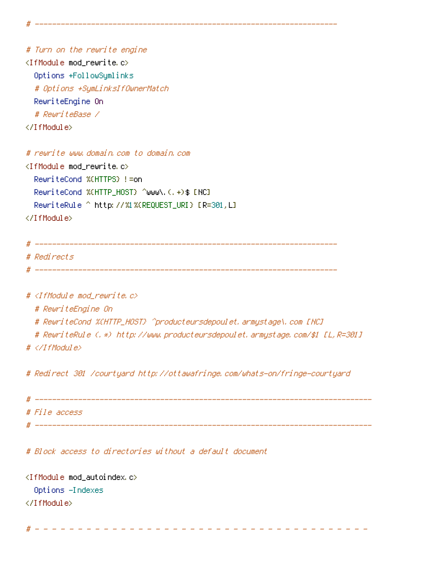# Turn on the rewrite engine <IfModule mod\_rewrite.c> Options +FollowSymlinks # Options +SymLinksIfOwnerMatch RewriteEngine On # RewriteBase / </IfModule>

# rewrite www.domain.com to domain.com <IfModule mod\_rewrite.c> RewriteCond %{HTTPS} !=on RewriteCond %(HTTP\_HOST) ^www\.(.+)\$ [NC] RewriteRule ^ http://%1%{REQUEST\_URI} [R=301,L] </IfModule>

# ---------------------------------------------------------------------- # Redirects # ----------------------------------------------------------------------

# ----------------------------------------------------------------------

#  $\triangleleft$  fModule mod rewrite.c>

# RewriteEngine On

# RewriteCond %{HTTP\_HOST} ^producteursdepoulet.armystage\.com [NC]

# RewriteRule (.\*) http://www.producteursdepoulet.armystage.com/\$1 [L,R=301]

# </IfModule>

# Redirect 301 /courtyard http://ottawafringe.com/whats-on/fringe-courtyard

# ------------------------------------------------------------------------------ # File access # ------------------------------------------------------------------------------

# Block access to directories without <sup>a</sup> default document

<IfModule mod\_autoindex.c> Options -Indexes </IfModule>

# - - - - - - - - - - - - - - - - - - - - - - - - - - - - - - - - - - - - - - -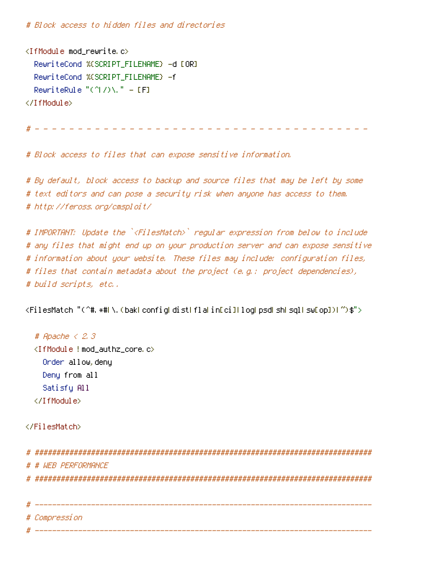# Block access to hidden files and directories

<IfModule mod\_rewrite.c> RewriteCond %{SCRIPT\_FILENAME} -d [OR] RewriteCond %{SCRIPT\_FILENAME} -f RewriteRule " $(^{\circ}$ ( $^{\circ}$ ) $\lambda$ , " - [F] </IfModule>

# - - - - - - - - - - - - - - - - - - - - - - - - - - - - - - - - - - - - - - -

# Block access to files that can expose sensitive information.

# By default, block access to backup and source files that may be left by some # text editors and can pose <sup>a</sup> security risk when anyone has access to them. # http://feross.org/cmsploit/

# IMPORTANT: Update the `<FilesMatch>` regular expression from below to include # any files that might end up on your production server and can expose sensitive # information about your website. These files may include: configuration files, # files that contain metadata about the project (e.g.: project dependencies), # build scripts, etc..

<FilesMatch "(^#.\*#|\.(bak|config|dist|fla|in[ci]|log|psd|sh|sql|sw[op])|~)\$">

# Apache < 2.3 <IfModule !mod\_authz\_core.c> Order allow,deny Deny from all Satisfy All </IfModule>

</FilesMatch>

# ############################################################################## # # WEB PERFORMANCE # ############################################################################## # ------------------------------------------------------------------------------

#### # Compression

# ------------------------------------------------------------------------------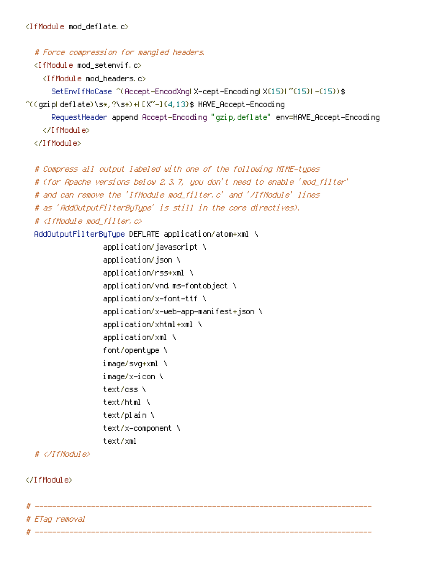# Force compression for mangled headers.

<IfModule mod\_setenvif.c>

<IfModule mod\_headers.c>

SetEnvIfNoCase ^(Accept-EncodXng|X-cept-Encoding|X{15}|~{15}|-{15})\$

 $\hat{C}$ ((gzip|deflate)\s\*,?\s\*)+|[X~-]{4,13}\$ HAVE\_Accept-Encoding

RequestHeader append Accept-Encoding "gzip,deflate" env=HAVE\_Accept-Encoding </IfModule>

</IfModule>

```
# Compress all output labeled with one of the following MIME-types
```
# (for Apache versions below 2.3.7, you don't need to enable 'mod\_filter'

```
# and can remove the 'IfModule mod_filter.c' and '/IfModule' lines
```

```
# as 'AddOutputFilterByType' is still in the core directives).
```
# <IfModule mod\_filter.c>

AddOutputFilterByType DEFLATE application/atom+xml \

application/javascript \ application/json \ application/rss+xml \ application/vnd.ms-fontobject \ application/x-font-ttf \ application/x-web-app-manifest+json \ application/xhtml+xml \ application/xml \ font/opentype \ image/svg+xml \ image/x-icon \ text/css \ text/html \ text/plain \ text/x-component \ text/xml

# </IfModule>

</IfModule>

```
# ------------------------------------------------------------------------------
# ETag removal
              # ------------------------------------------------------------------------------
```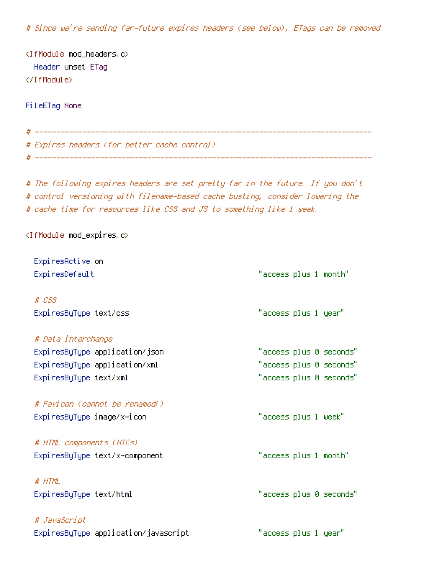# Since we're sending far-future expires headers (see below), ETags can be removed

<IfModule mod\_headers.c> Header unset ETag </IfModule>

FileETag None

# Expires headers (for better cache control)

# The following expires headers are set pretty far in the future. If you don't # control versioning with filename-based cache busting, consider lowering the # cache time for resources like CSS and JS to something like 1 week.

# ------------------------------------------------------------------------------

# ------------------------------------------------------------------------------

<IfModule mod\_expires.c>

| ExpiresActive on                     |                         |
|--------------------------------------|-------------------------|
| ExpiresDefault                       | "access plus 1 month"   |
| $#$ $CSS$                            |                         |
| ExpiresByType text/css               | "access plus 1 year"    |
| # Data interchange                   |                         |
| ExpiresByType application/json       | "access plus 0 seconds" |
| ExpiresByType application/xml        | "access plus 0 seconds" |
| ExpiresByType text/xml               | "access plus 0 seconds" |
| # Favicon (cannot be renamed!)       |                         |
| ExpiresByType image/x-icon           | "access plus 1 week"    |
| # HTML components (HTCs)             |                         |
| ExpiresByType text/x-component       | "access plus 1 month"   |
| # HTML                               |                         |
| ExpiresByType text/html              | "access plus 0 seconds" |
| # JavaScript                         |                         |
| ExpiresByType application/javascript | "access plus 1 year"    |